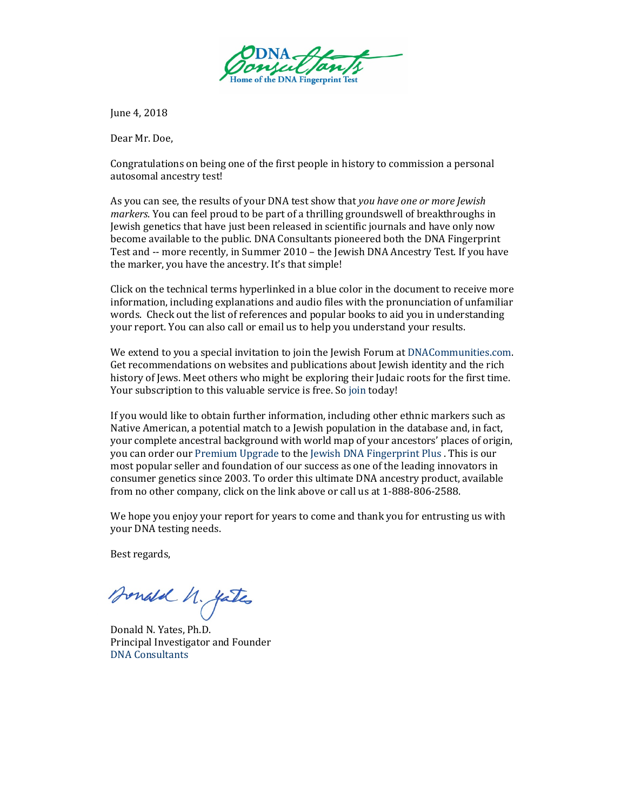

June 4, 2018

Dear Mr. Doe,

Congratulations on being one of the first people in history to commission a personal autosomal ancestry test!

As you can see, the results of your DNA test show that *you have one or more Jewish markers*. You can feel proud to be part of a thrilling groundswell of breakthroughs in Jewish genetics that have just been released in scientific journals and have only now become available to the public. DNA Consultants pioneered both the DNA Fingerprint Test and -- more recently, in Summer 2010 – the Jewish DNA Ancestry Test. If you have the marker, you have the ancestry. It's that simple!

Click on the technical terms hyperlinked in a blue color in the document to receive more information, including explanations and audio files with the pronunciation of unfamiliar words. Check out the list o[f references and popular](http://dnaconsultants.com/Detailed/67.html) books to aid you in understanding your report. You can also call or email us to help you understand your results.

We extend to you a special invitation to join the Jewish Forum at [DNACommunities.com.](http://dnacommunities.com/)  Get recommendations on websites and publications about Jewish identity and the rich history of Jews. Meet others who might be exploring their Judaic roots for the first time. Your subscription to this valuable service is free. S[o join t](http://www.dnacommunities.com/)oday!

If you would like to obtain further information, including other ethnic markers such as Native American, a potential match to a Jewish population in the database and, in fact, your complete ancestral background with world map of your ancestors' places of origin, you can order our [Premium Upgrade](http://dnaconsultants.com/product/reports-only/premium-upgrade/) to the [Jewish DNA Fingerprint Plus .](https://dnaconsultants.com/product/reports-only/jewish-upgrade/) This is our most popular seller and foundation of our success as one of the leading innovators in consumer genetics since 2003. To order this ultimate DNA ancestry product, available from no other company, click on the link above or call us at 1-888-806-2588.

We hope you enjoy your report for years to come and thank you for entrusting us with your DNA testing needs.

Best regards,

Bonald N. yates

Donald N. Yates, Ph.D. Principal Investigator and Founder [DNA Consultants](http://dnaconsultants.com/)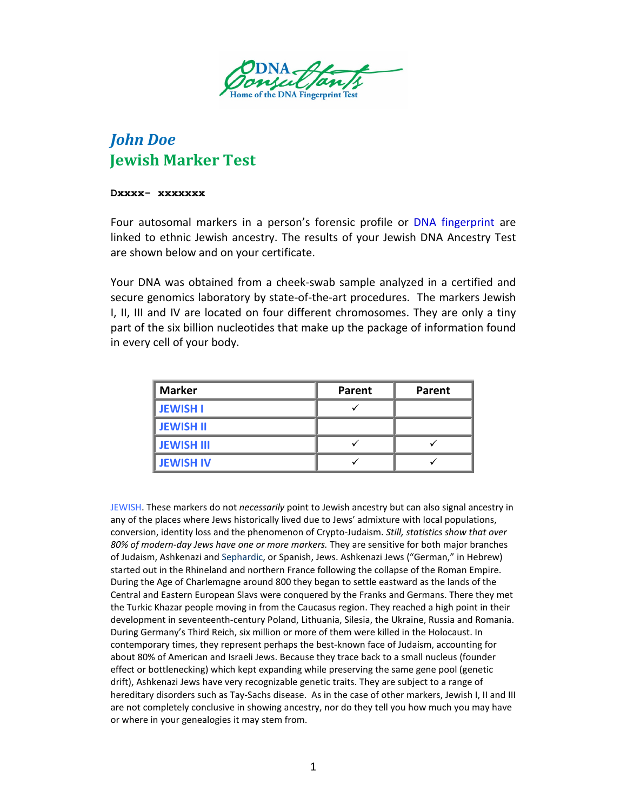

# *John Doe* **Jewish Marker Test**

#### **Dxxxx- xxxxxxx**

Four autosomal markers in a person's forensic profile or [DNA fingerprint](http://en.wikipedia.org/wiki/Genetic_fingerprinting) are linked to ethnic Jewish ancestry. The results of your Jewish DNA Ancestry Test are shown below and on your certificate.

Your DNA was obtained from a cheek-swab sample analyzed in a certified and secure genomics laboratory by state-of-the-art procedures. The markers Jewish I, II, III and IV are located on four different chromosomes. They are only a tiny part of the six billion nucleotides that make up the package of information found in every cell of your body.

| <b>Marker</b>     | Parent | Parent |
|-------------------|--------|--------|
| <b>JEWISH I</b>   |        |        |
| <b>JEWISH II</b>  |        |        |
| <b>JEWISH III</b> |        |        |
| <b>JEWISH IV</b>  |        |        |

JEWISH. These markers do not *necessarily* point to Jewish ancestry but can also signal ancestry in any of the places where Jews historically lived due to Jews' admixture with local populations, conversion, identity loss and the phenomenon of Crypto-Judaism. *Still, statistics show that over 80% of modern-day Jews have one or more markers.* They are sensitive for both major branches of Judaism, Ashkenazi and [Sephardic,](http://en.wikipedia.org/wiki/Sephardi_Jews) or Spanish, Jews. Ashkenazi Jews ("German," in Hebrew) started out in the Rhineland and northern France following the collapse of the Roman Empire. During the Age of Charlemagne around 800 they began to settle eastward as the lands of the Central and Eastern European Slavs were conquered by the Franks and Germans. There they met the Turkic Khazar people moving in from the Caucasus region. They reached a high point in their development in seventeenth-century Poland, Lithuania, Silesia, the Ukraine, Russia and Romania. During Germany's Third Reich, six million or more of them were killed in the Holocaust. In contemporary times, they represent perhaps the best-known face of Judaism, accounting for about 80% of American and Israeli Jews. Because they trace back to a small nucleus (founder effect or bottlenecking) which kept expanding while preserving the same gene pool (genetic drift), Ashkenazi Jews have very recognizable genetic traits. They are subject to a range of hereditary disorders such as Tay-Sachs disease. As in the case of other markers, Jewish I, II and III are not completely conclusive in showing ancestry, nor do they tell you how much you may have or where in your genealogies it may stem from.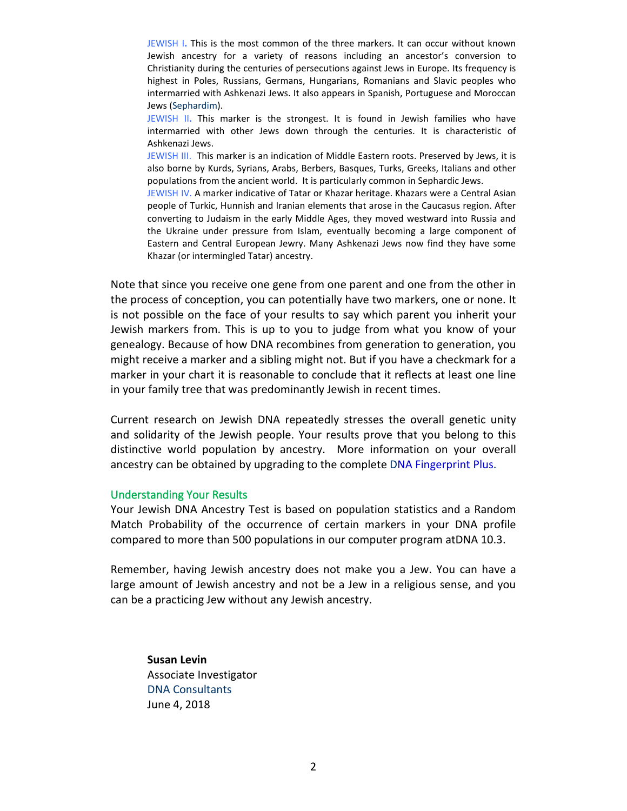JEWISH I**.** This is the most common of the three markers. It can occur without known Jewish ancestry for a variety of reasons including an ancestor's conversion to Christianity during the centuries of persecutions against Jews in Europe. Its frequency is highest in Poles, Russians, Germans, Hungarians, Romanians and Slavic peoples who intermarried with Ashkenazi Jews. It also appears in Spanish, Portuguese and Moroccan Jews [\(Sephardim\)](http://en.wikipedia.org/wiki/Sephardi_Jews).

JEWISH II**.** This marker is the strongest. It is found in Jewish families who have intermarried with other Jews down through the centuries. It is characteristic of Ashkenazi Jews.

JEWISH III. This marker is an indication of Middle Eastern roots. Preserved by Jews, it is also borne by Kurds, Syrians, Arabs, Berbers, Basques, Turks, Greeks, Italians and other populations from the ancient world. It is particularly common in Sephardic Jews.

JEWISH IV. A marker indicative of Tatar or Khazar heritage. Khazars were a Central Asian people of Turkic, Hunnish and Iranian elements that arose in the Caucasus region. After converting to Judaism in the early Middle Ages, they moved westward into Russia and the Ukraine under pressure from Islam, eventually becoming a large component of Eastern and Central European Jewry. Many Ashkenazi Jews now find they have some Khazar (or intermingled Tatar) ancestry.

Note that since you receive one gene from one parent and one from the other in the process of conception, you can potentially have two markers, one or none. It is not possible on the face of your results to say which parent you inherit your Jewish markers from. This is up to you to judge from what you know of your genealogy. Because of how DNA recombines from generation to generation, you might receive a marker and a sibling might not. But if you have a checkmark for a marker in your chart it is reasonable to conclude that it reflects at least one line in your family tree that was predominantly Jewish in recent times.

Current research on Jewish DNA repeatedly stresses the overall genetic unity and solidarity of the Jewish people. Your results prove that you belong to this distinctive world population by ancestry. More information on your overall ancestry can be obtained by upgrading to the complet[e DNA Fingerprint Plus.](http://dnaconsultants.com/our-tests/dna-fingerprint-plus)

#### Understanding Your Results

Your Jewish DNA Ancestry Test is based on population statistics and a Random Match Probability of the occurrence of certain markers in your DNA profile compared to more than 500 populations in our computer program atDNA 10.3.

Remember, having Jewish ancestry does not make you a Jew. You can have a large amount of Jewish ancestry and not be a Jew in a religious sense, and you can be a practicing Jew without any Jewish ancestry.

**Susan Levin** Associate Investigator [DNA Consultants](mailto:http://dnaconsultants.com) June 4, 2018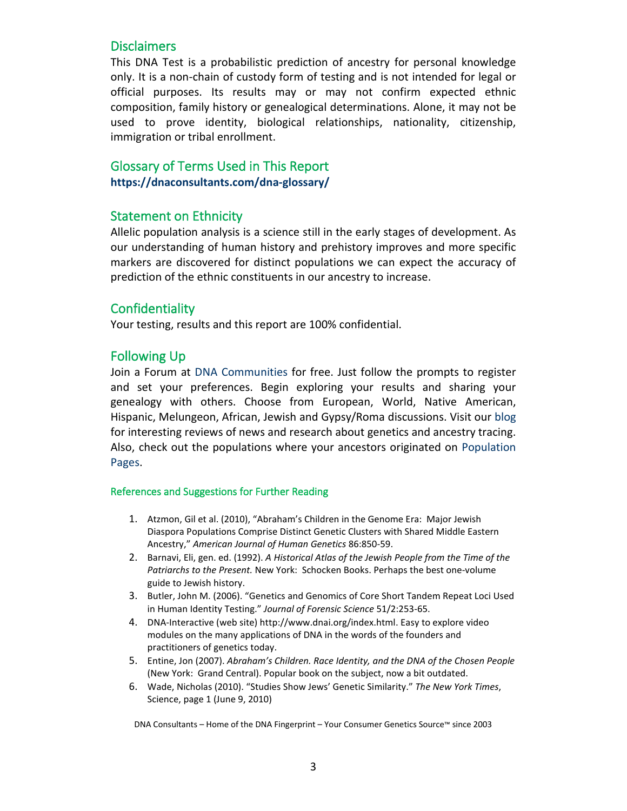### **Disclaimers**

This DNA Test is a probabilistic prediction of ancestry for personal knowledge only. It is a non-chain of custody form of testing and is not intended for legal or official purposes. Its results may or may not confirm expected ethnic composition, family history or genealogical determinations. Alone, it may not be used to prove identity, biological relationships, nationality, citizenship, immigration or tribal enrollment.

## Glossary of Terms Used in This Report **<https://dnaconsultants.com/dna-glossary/>**

#### Statement on Ethnicity

Allelic population analysis is a science still in the early stages of development. As our understanding of human history and prehistory improves and more specific markers are discovered for distinct populations we can expect the accuracy of prediction of the ethnic constituents in our ancestry to increase.

### **Confidentiality**

Your testing, results and this report are 100% confidential.

### Following Up

Join a Forum at [DNA Communities](http://dnacommunities.com/) for free. Just follow the prompts to register and set your preferences. Begin exploring your results and sharing your genealogy with others. Choose from European, World, Native American, Hispanic, Melungeon, African, Jewish and Gypsy/Roma discussions. Visit our [blog](http://dnaconsultants.com/_blog/DNA_Consultants_Blog/post/Abraham_Lincoln%27s_Jewish_Roots/)  for interesting reviews of news and research about genetics and ancestry tracing. Also, check out the populations where your ancestors originated on [Population](http://dnaconsultants.com/dnapops/all-populations)  [Pages.](http://dnaconsultants.com/dnapops/all-populations)

#### References and Suggestions for Further Reading

- 1. Atzmon, Gil et al. (2010), "Abraham's Children in the Genome Era: Major Jewish Diaspora Populations Comprise Distinct Genetic Clusters with Shared Middle Eastern Ancestry," *American Journal of Human Genetics* 86:850-59.
- 2. Barnavi, Eli, gen. ed. (1992). *A Historical Atlas of the Jewish People from the Time of the Patriarchs to the Present.* New York: Schocken Books. Perhaps the best one-volume guide to Jewish history.
- 3. Butler, John M. (2006). "Genetics and Genomics of Core Short Tandem Repeat Loci Used in Human Identity Testing." *Journal of Forensic Science* 51/2:253-65.
- 4. DNA-Interactive (web site) [http://www.dnai.org/index.html.](http://www.dnai.org/index.html) Easy to explore video modules on the many applications of DNA in the words of the founders and practitioners of genetics today.
- 5. Entine, Jon (2007). *Abraham's Children. Race Identity, and the DNA of the Chosen People* (New York: Grand Central). Popular book on the subject, now a bit outdated.
- 6. Wade, Nicholas (2010). ["Studies Show Jews' Genetic Similarity."](http://www.nytimes.com/2010/06/10/science/10jews.html) *The New York Times*, Science, page 1 (June 9, 2010)

DNA Consultants – Home of the DNA Fingerprint – Your Consumer Genetics Source™ since 2003